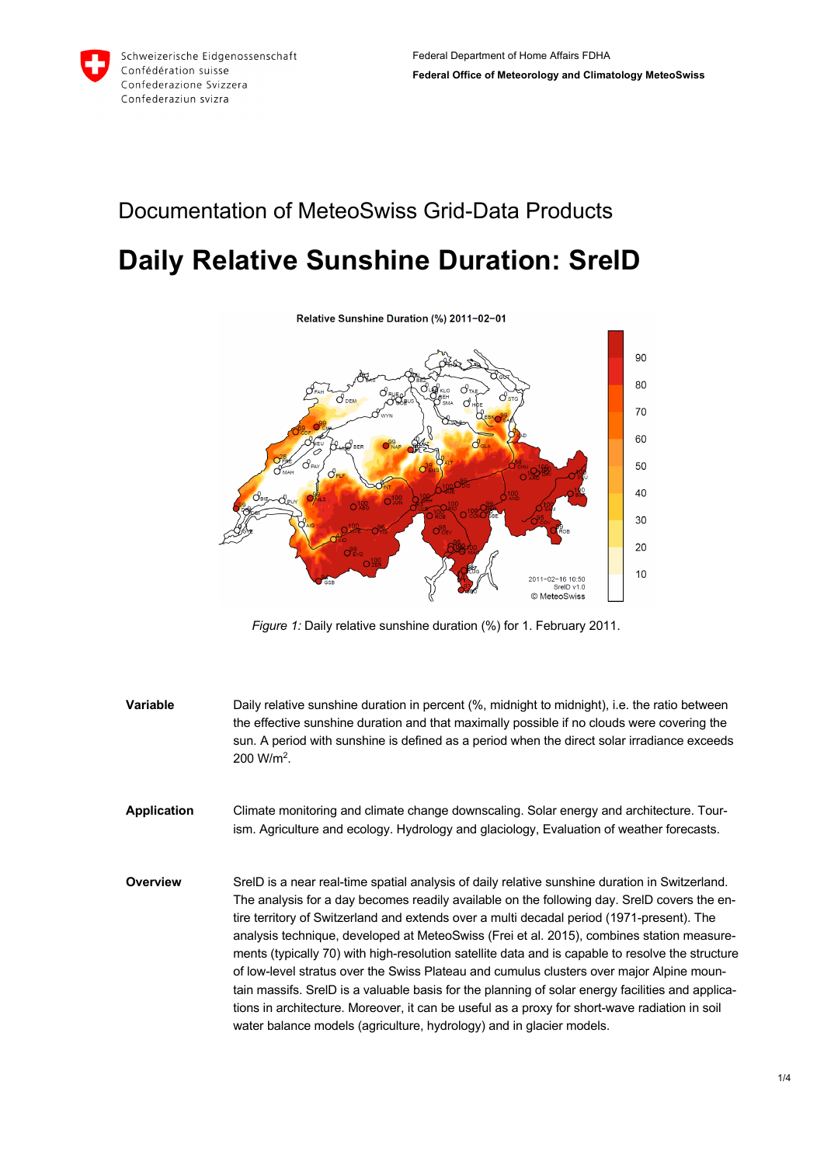## Documentation of MeteoSwiss Grid-Data Products **Daily Relative Sunshine Duration: SrelD**



*Figure 1:* Daily relative sunshine duration (%) for 1. February 2011.

**Variable** Daily relative sunshine duration in percent (%, midnight to midnight), i.e. the ratio between the effective sunshine duration and that maximally possible if no clouds were covering the sun. A period with sunshine is defined as a period when the direct solar irradiance exceeds 200 W/m2. **Application** Climate monitoring and climate change downscaling. Solar energy and architecture. Tourism. Agriculture and ecology. Hydrology and glaciology, Evaluation of weather forecasts. **Overview** SrelD is a near real-time spatial analysis of daily relative sunshine duration in Switzerland. The analysis for a day becomes readily available on the following day. SrelD covers the entire territory of Switzerland and extends over a multi decadal period (1971-present). The analysis technique, developed at MeteoSwiss (Frei et al. 2015), combines station measurements (typically 70) with high-resolution satellite data and is capable to resolve the structure of low-level stratus over the Swiss Plateau and cumulus clusters over major Alpine mountain massifs. SrelD is a valuable basis for the planning of solar energy facilities and applications in architecture. Moreover, it can be useful as a proxy for short-wave radiation in soil water balance models (agriculture, hydrology) and in glacier models.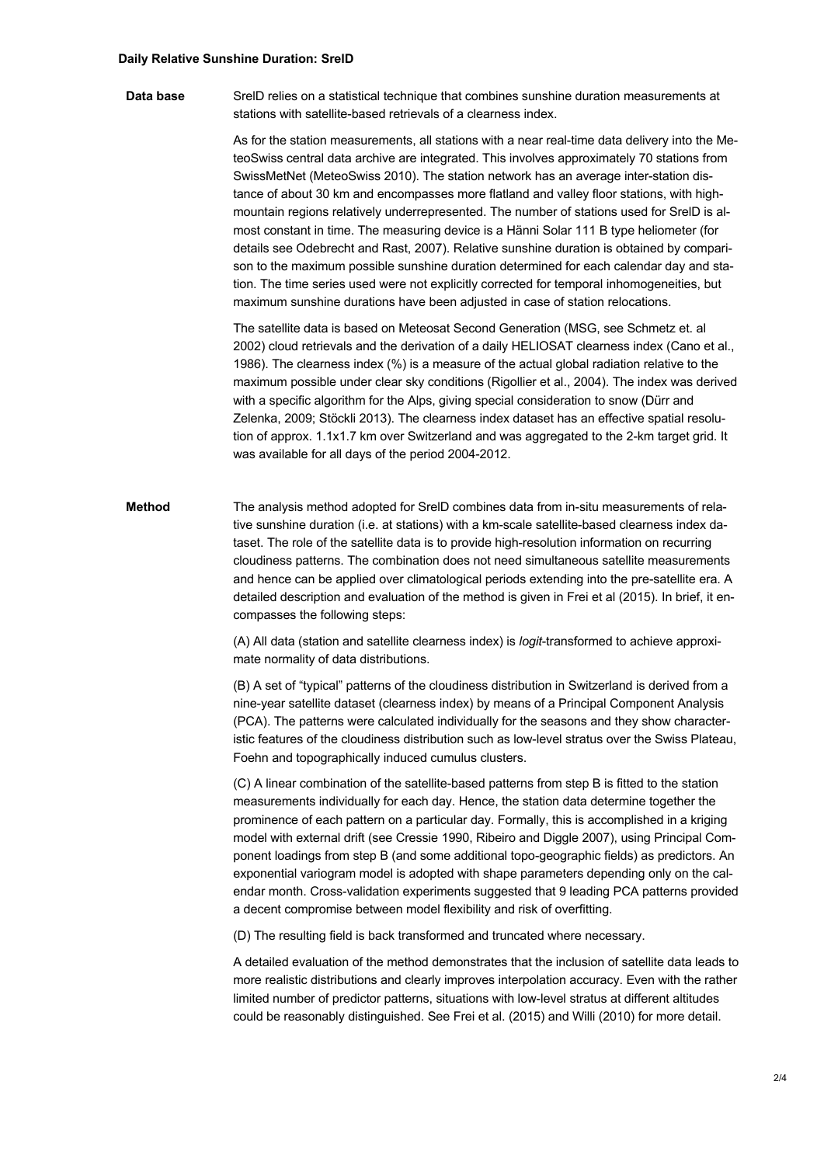## **Daily Relative Sunshine Duration: SrelD**

**Data base** SrelD relies on a statistical technique that combines sunshine duration measurements at stations with satellite-based retrievals of a clearness index.

> As for the station measurements, all stations with a near real-time data delivery into the MeteoSwiss central data archive are integrated. This involves approximately 70 stations from SwissMetNet (MeteoSwiss 2010). The station network has an average inter-station distance of about 30 km and encompasses more flatland and valley floor stations, with highmountain regions relatively underrepresented. The number of stations used for SrelD is almost constant in time. The measuring device is a Hänni Solar 111 B type heliometer (for details see Odebrecht and Rast, 2007). Relative sunshine duration is obtained by comparison to the maximum possible sunshine duration determined for each calendar day and station. The time series used were not explicitly corrected for temporal inhomogeneities, but maximum sunshine durations have been adjusted in case of station relocations.

> The satellite data is based on Meteosat Second Generation (MSG, see Schmetz et. al 2002) cloud retrievals and the derivation of a daily HELIOSAT clearness index (Cano et al., 1986). The clearness index (%) is a measure of the actual global radiation relative to the maximum possible under clear sky conditions (Rigollier et al., 2004). The index was derived with a specific algorithm for the Alps, giving special consideration to snow (Dürr and Zelenka, 2009; Stöckli 2013). The clearness index dataset has an effective spatial resolution of approx. 1.1x1.7 km over Switzerland and was aggregated to the 2-km target grid. It was available for all days of the period 2004-2012.

**Method** The analysis method adopted for SrelD combines data from in-situ measurements of relative sunshine duration (i.e. at stations) with a km-scale satellite-based clearness index dataset. The role of the satellite data is to provide high-resolution information on recurring cloudiness patterns. The combination does not need simultaneous satellite measurements and hence can be applied over climatological periods extending into the pre-satellite era. A detailed description and evaluation of the method is given in Frei et al (2015). In brief, it encompasses the following steps:

> (A) All data (station and satellite clearness index) is *logit*-transformed to achieve approximate normality of data distributions.

(B) A set of "typical" patterns of the cloudiness distribution in Switzerland is derived from a nine-year satellite dataset (clearness index) by means of a Principal Component Analysis (PCA). The patterns were calculated individually for the seasons and they show characteristic features of the cloudiness distribution such as low-level stratus over the Swiss Plateau, Foehn and topographically induced cumulus clusters.

(C) A linear combination of the satellite-based patterns from step B is fitted to the station measurements individually for each day. Hence, the station data determine together the prominence of each pattern on a particular day. Formally, this is accomplished in a kriging model with external drift (see Cressie 1990, Ribeiro and Diggle 2007), using Principal Component loadings from step B (and some additional topo-geographic fields) as predictors. An exponential variogram model is adopted with shape parameters depending only on the calendar month. Cross-validation experiments suggested that 9 leading PCA patterns provided a decent compromise between model flexibility and risk of overfitting.

(D) The resulting field is back transformed and truncated where necessary.

A detailed evaluation of the method demonstrates that the inclusion of satellite data leads to more realistic distributions and clearly improves interpolation accuracy. Even with the rather limited number of predictor patterns, situations with low-level stratus at different altitudes could be reasonably distinguished. See Frei et al. (2015) and Willi (2010) for more detail.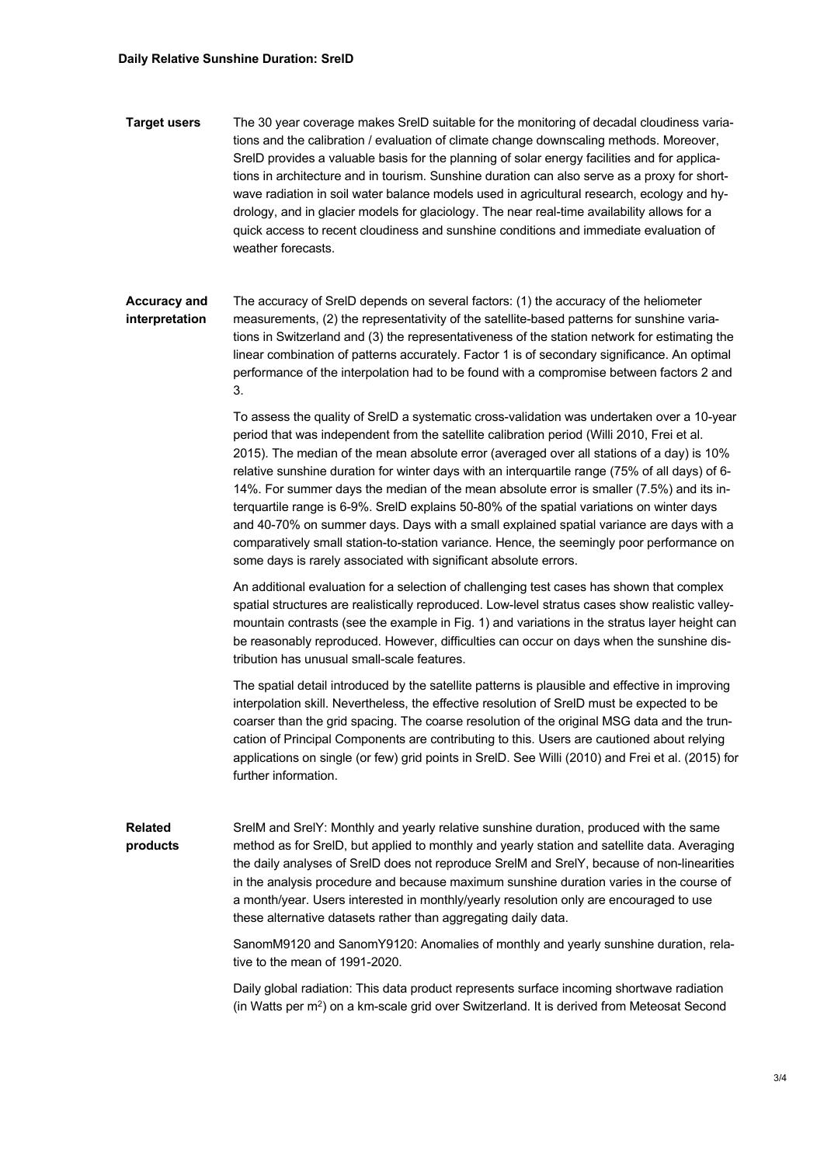**Target users** The 30 year coverage makes SrelD suitable for the monitoring of decadal cloudiness variations and the calibration / evaluation of climate change downscaling methods. Moreover, SrelD provides a valuable basis for the planning of solar energy facilities and for applications in architecture and in tourism. Sunshine duration can also serve as a proxy for shortwave radiation in soil water balance models used in agricultural research, ecology and hydrology, and in glacier models for glaciology. The near real-time availability allows for a quick access to recent cloudiness and sunshine conditions and immediate evaluation of weather forecasts.

## **Accuracy and interpretation** The accuracy of SrelD depends on several factors: (1) the accuracy of the heliometer measurements, (2) the representativity of the satellite-based patterns for sunshine variations in Switzerland and (3) the representativeness of the station network for estimating the linear combination of patterns accurately. Factor 1 is of secondary significance. An optimal performance of the interpolation had to be found with a compromise between factors 2 and 3.

To assess the quality of SrelD a systematic cross-validation was undertaken over a 10-year period that was independent from the satellite calibration period (Willi 2010, Frei et al. 2015). The median of the mean absolute error (averaged over all stations of a day) is 10% relative sunshine duration for winter days with an interquartile range (75% of all days) of 6- 14%. For summer days the median of the mean absolute error is smaller (7.5%) and its interquartile range is 6-9%. SrelD explains 50-80% of the spatial variations on winter days and 40-70% on summer days. Days with a small explained spatial variance are days with a comparatively small station-to-station variance. Hence, the seemingly poor performance on some days is rarely associated with significant absolute errors.

An additional evaluation for a selection of challenging test cases has shown that complex spatial structures are realistically reproduced. Low-level stratus cases show realistic valleymountain contrasts (see the example in Fig. 1) and variations in the stratus layer height can be reasonably reproduced. However, difficulties can occur on days when the sunshine distribution has unusual small-scale features.

The spatial detail introduced by the satellite patterns is plausible and effective in improving interpolation skill. Nevertheless, the effective resolution of SrelD must be expected to be coarser than the grid spacing. The coarse resolution of the original MSG data and the truncation of Principal Components are contributing to this. Users are cautioned about relying applications on single (or few) grid points in SrelD. See Willi (2010) and Frei et al. (2015) for further information.

**Related products** SrelM and SrelY: Monthly and yearly relative sunshine duration, produced with the same method as for SrelD, but applied to monthly and yearly station and satellite data. Averaging the daily analyses of SrelD does not reproduce SrelM and SrelY, because of non-linearities in the analysis procedure and because maximum sunshine duration varies in the course of a month/year. Users interested in monthly/yearly resolution only are encouraged to use these alternative datasets rather than aggregating daily data.

> SanomM9120 and SanomY9120: Anomalies of monthly and yearly sunshine duration, relative to the mean of 1991-2020.

Daily global radiation: This data product represents surface incoming shortwave radiation (in Watts per m<sup>2</sup>) on a km-scale grid over Switzerland. It is derived from Meteosat Second